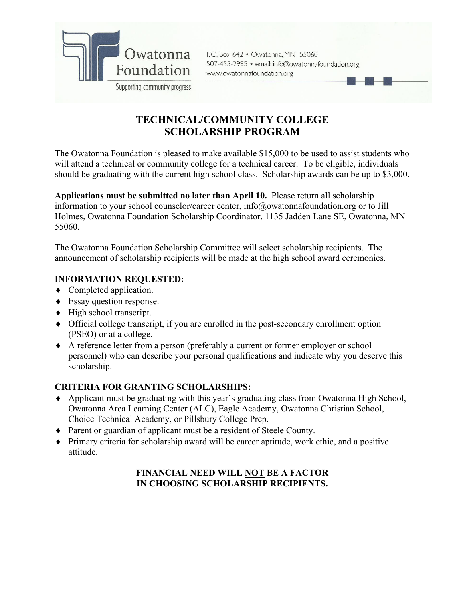

P.O. Box 642 . Owatonna, MN 55060 507-455-2995 · email: info@owatonnafoundation.org www.owatonnafoundation.org

# **TECHNICAL/COMMUNITY COLLEGE SCHOLARSHIP PROGRAM**

The Owatonna Foundation is pleased to make available \$15,000 to be used to assist students who will attend a technical or community college for a technical career. To be eligible, individuals should be graduating with the current high school class. Scholarship awards can be up to \$3,000.

**Applications must be submitted no later than April 10.** Please return all scholarship information to your school counselor/career center, info@owatonnafoundation.org or to Jill Holmes, Owatonna Foundation Scholarship Coordinator, 1135 Jadden Lane SE, Owatonna, MN 55060.

The Owatonna Foundation Scholarship Committee will select scholarship recipients. The announcement of scholarship recipients will be made at the high school award ceremonies.

## **INFORMATION REQUESTED:**

- Completed application.
- ◆ Essay question response.
- $\blacklozenge$  High school transcript.
- Official college transcript, if you are enrolled in the post-secondary enrollment option (PSEO) or at a college.
- A reference letter from a person (preferably a current or former employer or school personnel) who can describe your personal qualifications and indicate why you deserve this scholarship.

#### **CRITERIA FOR GRANTING SCHOLARSHIPS:**

- Applicant must be graduating with this year's graduating class from Owatonna High School, Owatonna Area Learning Center (ALC), Eagle Academy, Owatonna Christian School, Choice Technical Academy, or Pillsbury College Prep.
- Parent or guardian of applicant must be a resident of Steele County.
- $\blacklozenge$  Primary criteria for scholarship award will be career aptitude, work ethic, and a positive attitude.

## **FINANCIAL NEED WILL NOT BE A FACTOR IN CHOOSING SCHOLARSHIP RECIPIENTS.**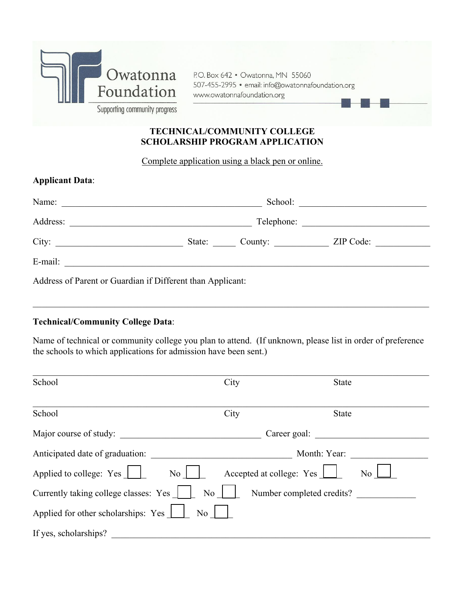

P.O. Box 642 . Owatonna, MN 55060 507-455-2995 · email: info@owatonnafoundation.org www.owatonnafoundation.org

### **TECHNICAL/COMMUNITY COLLEGE SCHOLARSHIP PROGRAM APPLICATION**

Complete application using a black pen or online.

| <b>Applicant Data:</b>                                     |            |                |           |  |  |
|------------------------------------------------------------|------------|----------------|-----------|--|--|
|                                                            | School:    |                |           |  |  |
|                                                            | Telephone: |                |           |  |  |
|                                                            |            | State: County: | ZIP Code: |  |  |
| E-mail:                                                    |            |                |           |  |  |
| Address of Parent or Guardian if Different than Applicant: |            |                |           |  |  |

#### **Technical/Community College Data**:

Name of technical or community college you plan to attend. (If unknown, please list in order of preference the schools to which applications for admission have been sent.)

 $\_$  , and the set of the set of the set of the set of the set of the set of the set of the set of the set of the set of the set of the set of the set of the set of the set of the set of the set of the set of the set of th

| School                                        | City           | <b>State</b>              |    |
|-----------------------------------------------|----------------|---------------------------|----|
| School                                        | City           | <b>State</b>              |    |
| Major course of study:                        | Career goal:   |                           |    |
| Anticipated date of graduation:               |                | Month: Year:              |    |
| Applied to college: Yes<br>$\overline{N_{0}}$ |                | Accepted at college: Yes  | No |
| Currently taking college classes: Yes         | No.            | Number completed credits? |    |
| Applied for other scholarships: Yes           | N <sub>o</sub> |                           |    |
| If yes, scholarships?                         |                |                           |    |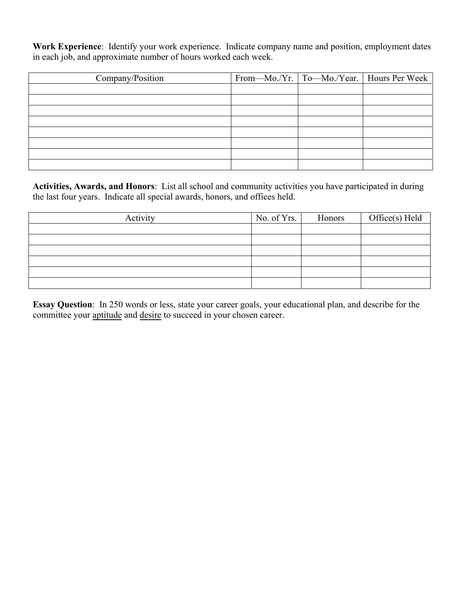**Work Experience**: Identify your work experience. Indicate company name and position, employment dates in each job, and approximate number of hours worked each week.

| Company/Position |  | From—Mo./Yr.   To—Mo./Year.   Hours Per Week |
|------------------|--|----------------------------------------------|
|                  |  |                                              |
|                  |  |                                              |
|                  |  |                                              |
|                  |  |                                              |
|                  |  |                                              |
|                  |  |                                              |
|                  |  |                                              |
|                  |  |                                              |

**Activities, Awards, and Honors**: List all school and community activities you have participated in during the last four years. Indicate all special awards, honors, and offices held.

| Activity | No. of $Yrs.$ | Honors | $Office(s)$ Held |
|----------|---------------|--------|------------------|
|          |               |        |                  |
|          |               |        |                  |
|          |               |        |                  |
|          |               |        |                  |
|          |               |        |                  |
|          |               |        |                  |

**Essay Question**: In 250 words or less, state your career goals, your educational plan, and describe for the committee your aptitude and desire to succeed in your chosen career.